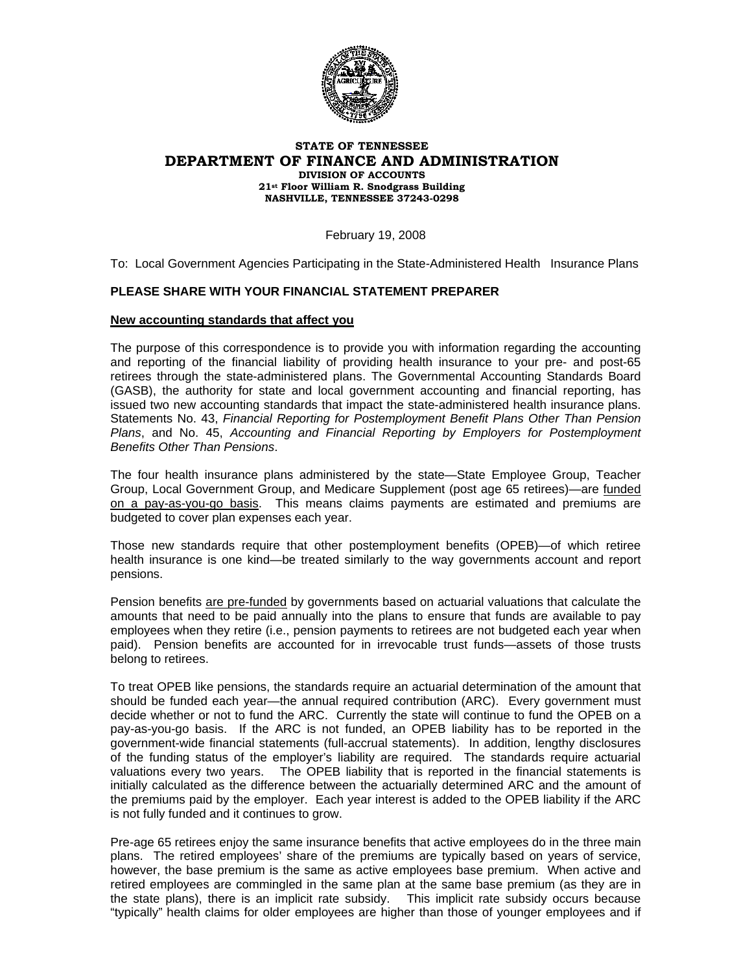

## **STATE OF TENNESSEE DEPARTMENT OF FINANCE AND ADMINISTRATION DIVISION OF ACCOUNTS 21st Floor William R. Snodgrass Building NASHVILLE, TENNESSEE 37243-0298**

February 19, 2008

To: Local Government Agencies Participating in the State-Administered Health Insurance Plans

## **PLEASE SHARE WITH YOUR FINANCIAL STATEMENT PREPARER**

## **New accounting standards that affect you**

The purpose of this correspondence is to provide you with information regarding the accounting and reporting of the financial liability of providing health insurance to your pre- and post-65 retirees through the state-administered plans. The Governmental Accounting Standards Board (GASB), the authority for state and local government accounting and financial reporting, has issued two new accounting standards that impact the state-administered health insurance plans. Statements No. 43, *Financial Reporting for Postemployment Benefit Plans Other Than Pension Plans*, and No. 45, *Accounting and Financial Reporting by Employers for Postemployment Benefits Other Than Pensions*.

The four health insurance plans administered by the state—State Employee Group, Teacher Group, Local Government Group, and Medicare Supplement (post age 65 retirees)—are funded on a pay-as-you-go basis. This means claims payments are estimated and premiums are budgeted to cover plan expenses each year.

Those new standards require that other postemployment benefits (OPEB)—of which retiree health insurance is one kind—be treated similarly to the way governments account and report pensions.

Pension benefits are pre-funded by governments based on actuarial valuations that calculate the amounts that need to be paid annually into the plans to ensure that funds are available to pay employees when they retire (i.e., pension payments to retirees are not budgeted each year when paid). Pension benefits are accounted for in irrevocable trust funds—assets of those trusts belong to retirees.

To treat OPEB like pensions, the standards require an actuarial determination of the amount that should be funded each year—the annual required contribution (ARC). Every government must decide whether or not to fund the ARC. Currently the state will continue to fund the OPEB on a pay-as-you-go basis. If the ARC is not funded, an OPEB liability has to be reported in the government-wide financial statements (full-accrual statements). In addition, lengthy disclosures of the funding status of the employer's liability are required. The standards require actuarial valuations every two years. The OPEB liability that is reported in the financial statements is initially calculated as the difference between the actuarially determined ARC and the amount of the premiums paid by the employer. Each year interest is added to the OPEB liability if the ARC is not fully funded and it continues to grow.

Pre-age 65 retirees enjoy the same insurance benefits that active employees do in the three main plans. The retired employees' share of the premiums are typically based on years of service, however, the base premium is the same as active employees base premium. When active and retired employees are commingled in the same plan at the same base premium (as they are in the state plans), there is an implicit rate subsidy. This implicit rate subsidy occurs because "typically" health claims for older employees are higher than those of younger employees and if